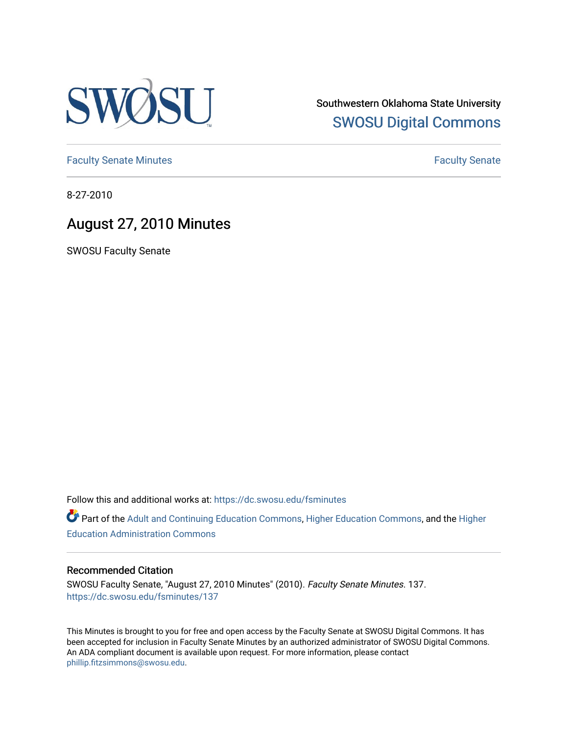

Southwestern Oklahoma State University [SWOSU Digital Commons](https://dc.swosu.edu/) 

[Faculty Senate Minutes](https://dc.swosu.edu/fsminutes) **Faculty** Senate Minutes

8-27-2010

# August 27, 2010 Minutes

SWOSU Faculty Senate

Follow this and additional works at: [https://dc.swosu.edu/fsminutes](https://dc.swosu.edu/fsminutes?utm_source=dc.swosu.edu%2Ffsminutes%2F137&utm_medium=PDF&utm_campaign=PDFCoverPages) 

Part of the [Adult and Continuing Education Commons,](http://network.bepress.com/hgg/discipline/1375?utm_source=dc.swosu.edu%2Ffsminutes%2F137&utm_medium=PDF&utm_campaign=PDFCoverPages) [Higher Education Commons,](http://network.bepress.com/hgg/discipline/1245?utm_source=dc.swosu.edu%2Ffsminutes%2F137&utm_medium=PDF&utm_campaign=PDFCoverPages) and the [Higher](http://network.bepress.com/hgg/discipline/791?utm_source=dc.swosu.edu%2Ffsminutes%2F137&utm_medium=PDF&utm_campaign=PDFCoverPages) [Education Administration Commons](http://network.bepress.com/hgg/discipline/791?utm_source=dc.swosu.edu%2Ffsminutes%2F137&utm_medium=PDF&utm_campaign=PDFCoverPages) 

#### Recommended Citation

SWOSU Faculty Senate, "August 27, 2010 Minutes" (2010). Faculty Senate Minutes. 137. [https://dc.swosu.edu/fsminutes/137](https://dc.swosu.edu/fsminutes/137?utm_source=dc.swosu.edu%2Ffsminutes%2F137&utm_medium=PDF&utm_campaign=PDFCoverPages) 

This Minutes is brought to you for free and open access by the Faculty Senate at SWOSU Digital Commons. It has been accepted for inclusion in Faculty Senate Minutes by an authorized administrator of SWOSU Digital Commons. An ADA compliant document is available upon request. For more information, please contact [phillip.fitzsimmons@swosu.edu](mailto:phillip.fitzsimmons@swosu.edu).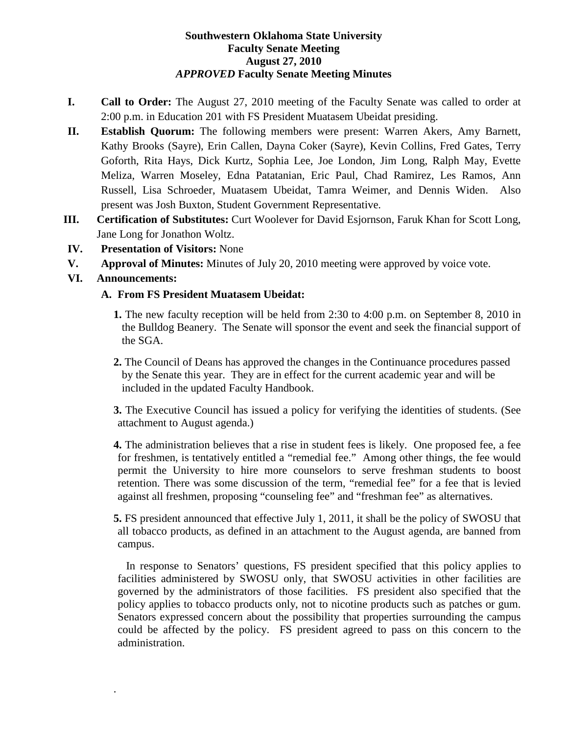#### **Southwestern Oklahoma State University Faculty Senate Meeting August 27, 2010** *APPROVED* **Faculty Senate Meeting Minutes**

- **I. Call to Order:** The August 27, 2010 meeting of the Faculty Senate was called to order at 2:00 p.m. in Education 201 with FS President Muatasem Ubeidat presiding.
- **II. Establish Quorum:** The following members were present: Warren Akers, Amy Barnett, Kathy Brooks (Sayre), Erin Callen, Dayna Coker (Sayre), Kevin Collins, Fred Gates, Terry Goforth, Rita Hays, Dick Kurtz, Sophia Lee, Joe London, Jim Long, Ralph May, Evette Meliza, Warren Moseley, Edna Patatanian, Eric Paul, Chad Ramirez, Les Ramos, Ann Russell, Lisa Schroeder, Muatasem Ubeidat, Tamra Weimer, and Dennis Widen. Also present was Josh Buxton, Student Government Representative.
- **III. Certification of Substitutes:** Curt Woolever for David Esjornson, Faruk Khan for Scott Long, Jane Long for Jonathon Woltz.
- **IV. Presentation of Visitors:** None
- **V. Approval of Minutes:** Minutes of July 20, 2010 meeting were approved by voice vote.
- **VI. Announcements:**

.

### **A. From FS President Muatasem Ubeidat:**

- **1.** The new faculty reception will be held from 2:30 to 4:00 p.m. on September 8, 2010 in the Bulldog Beanery. The Senate will sponsor the event and seek the financial support of the SGA.
- **2.** The Council of Deans has approved the changes in the Continuance procedures passed by the Senate this year. They are in effect for the current academic year and will be included in the updated Faculty Handbook.
- **3.** The Executive Council has issued a policy for verifying the identities of students. (See attachment to August agenda.)
- **4.** The administration believes that a rise in student fees is likely. One proposed fee, a fee for freshmen, is tentatively entitled a "remedial fee." Among other things, the fee would permit the University to hire more counselors to serve freshman students to boost retention. There was some discussion of the term, "remedial fee" for a fee that is levied against all freshmen, proposing "counseling fee" and "freshman fee" as alternatives.
- **5.** FS president announced that effective July 1, 2011, it shall be the policy of SWOSU that all tobacco products, as defined in an attachment to the August agenda, are banned from campus.

In response to Senators' questions, FS president specified that this policy applies to facilities administered by SWOSU only, that SWOSU activities in other facilities are governed by the administrators of those facilities. FS president also specified that the policy applies to tobacco products only, not to nicotine products such as patches or gum. Senators expressed concern about the possibility that properties surrounding the campus could be affected by the policy. FS president agreed to pass on this concern to the administration.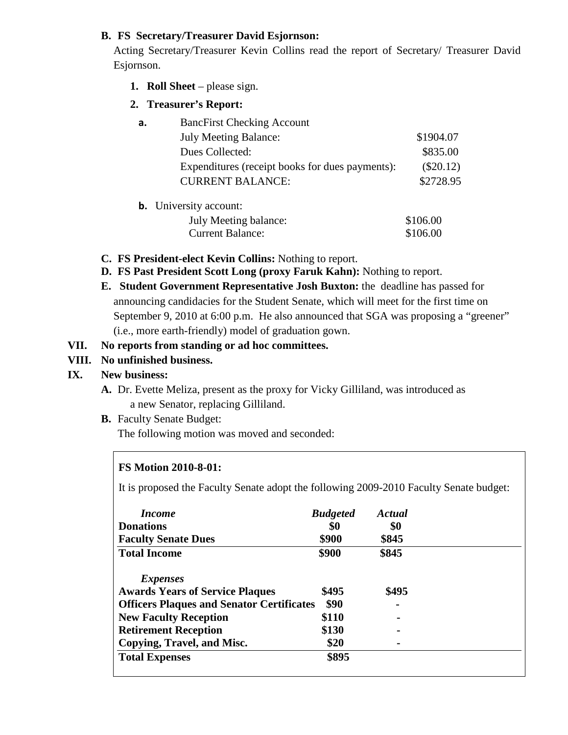#### **B. FS Secretary/Treasurer David Esjornson:**

Acting Secretary/Treasurer Kevin Collins read the report of Secretary/ Treasurer David Esjornson.

- **1. Roll Sheet** please sign.
- **2. Treasurer's Report:**

| а. | <b>BancFirst Checking Account</b>               |             |  |  |
|----|-------------------------------------------------|-------------|--|--|
|    | <b>July Meeting Balance:</b>                    | \$1904.07   |  |  |
|    | Dues Collected:                                 | \$835.00    |  |  |
|    | Expenditures (receipt books for dues payments): | $(\$20.12)$ |  |  |
|    | <b>CURRENT BALANCE:</b>                         | \$2728.95   |  |  |
|    |                                                 |             |  |  |

**b.** University account:

| July Meeting balance:   | \$106.00 |
|-------------------------|----------|
| <b>Current Balance:</b> | \$106.00 |

- **C. FS President-elect Kevin Collins:** Nothing to report.
- **D. FS Past President Scott Long (proxy Faruk Kahn):** Nothing to report.
- **E. Student Government Representative Josh Buxton:** the deadline has passed for announcing candidacies for the Student Senate, which will meet for the first time on September 9, 2010 at 6:00 p.m. He also announced that SGA was proposing a "greener" (i.e., more earth-friendly) model of graduation gown.

### **VII. No reports from standing or ad hoc committees.**

### **VIII. No unfinished business.**

# **IX. New business:**

- **A.** Dr. Evette Meliza, present as the proxy for Vicky Gilliland, was introduced as a new Senator, replacing Gilliland.
- **B.** Faculty Senate Budget:

The following motion was moved and seconded:

# **FS Motion 2010-8-01:**

It is proposed the Faculty Senate adopt the following 2009-2010 Faculty Senate budget:

| <i>Income</i>                                    | <b>Budgeted</b> | <b>Actual</b> |  |
|--------------------------------------------------|-----------------|---------------|--|
| <b>Donations</b>                                 | \$0             | \$0           |  |
| <b>Faculty Senate Dues</b>                       | \$900           | \$845         |  |
| <b>Total Income</b>                              | \$900           | \$845         |  |
| <i>Expenses</i>                                  |                 |               |  |
| <b>Awards Years of Service Plaques</b>           | \$495           | \$495         |  |
| <b>Officers Plaques and Senator Certificates</b> | \$90            |               |  |
| <b>New Faculty Reception</b>                     | \$110           |               |  |
| <b>Retirement Reception</b>                      | \$130           |               |  |
| Copying, Travel, and Misc.                       | \$20            |               |  |
| <b>Total Expenses</b>                            | \$895           |               |  |